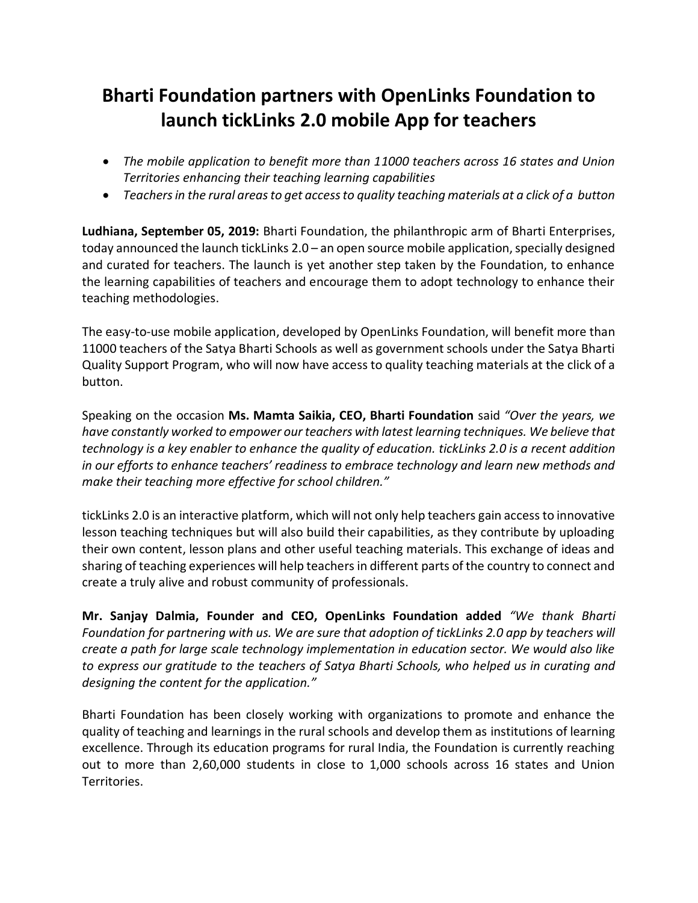## **Bharti Foundation partners with OpenLinks Foundation to launch tickLinks 2.0 mobile App for teachers**

- *The mobile application to benefit more than 11000 teachers across 16 states and Union Territories enhancing their teaching learning capabilities*
- *Teachers in the rural areas to get access to quality teaching materials at a click of a button*

**Ludhiana, September 05, 2019:** Bharti Foundation, the philanthropic arm of Bharti Enterprises, today announced the launch tickLinks 2.0 – an open source mobile application, specially designed and curated for teachers. The launch is yet another step taken by the Foundation, to enhance the learning capabilities of teachers and encourage them to adopt technology to enhance their teaching methodologies.

The easy-to-use mobile application, developed by OpenLinks Foundation, will benefit more than 11000 teachers of the Satya Bharti Schools as well as government schools under the Satya Bharti Quality Support Program, who will now have access to quality teaching materials at the click of a button.

Speaking on the occasion **Ms. Mamta Saikia, CEO, Bharti Foundation** said *"Over the years, we have constantly worked to empower our teachers with latest learning techniques. We believe that technology is a key enabler to enhance the quality of education. tickLinks 2.0 is a recent addition in our efforts to enhance teachers' readiness to embrace technology and learn new methods and make their teaching more effective for school children."*

tickLinks 2.0 is an interactive platform, which will not only help teachers gain access to innovative lesson teaching techniques but will also build their capabilities, as they contribute by uploading their own content, lesson plans and other useful teaching materials. This exchange of ideas and sharing of teaching experiences will help teachers in different parts of the country to connect and create a truly alive and robust community of professionals.

**Mr. Sanjay Dalmia, Founder and CEO, OpenLinks Foundation added** *"We thank Bharti Foundation for partnering with us. We are sure that adoption of tickLinks 2.0 app by teachers will create a path for large scale technology implementation in education sector. We would also like to express our gratitude to the teachers of Satya Bharti Schools, who helped us in curating and designing the content for the application."*

Bharti Foundation has been closely working with organizations to promote and enhance the quality of teaching and learnings in the rural schools and develop them as institutions of learning excellence. Through its education programs for rural India, the Foundation is currently reaching out to more than 2,60,000 students in close to 1,000 schools across 16 states and Union Territories.